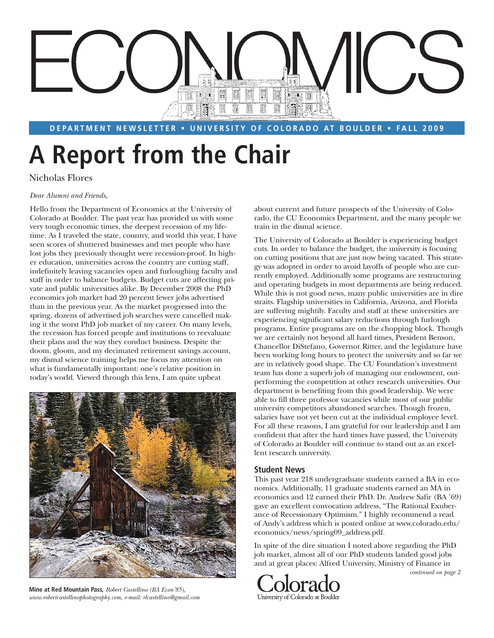

**DEPARTMENT NEWSLETTER • UNIVERSITY OF COLORADO AT BOULDER • FALL 2009** 

# **A Report from the Chair**

Nicholas Flores

#### *Dear Alumni and Friends,*

Hello from the Department of Economics at the University of Colorado at Boulder. The past year has provided us with some very tough economic times, the deepest recession of my lifetime. As I traveled the state, country, and world this year, I have seen scores of shuttered businesses and met people who have lost jobs they previously thought were recession-proof. In higher education, universities across the country are cutting staff, indefinitely leaving vacancies open and furloughing faculty and staff in order to balance budgets. Budget cuts are affecting private and public universities alike. By December 2008 the PhD economics job market had 20 percent fewer jobs advertised than in the previous year. As the market progressed into the spring, dozens of advertised job searches were cancelled making it the worst PhD job market of my career. On many levels, the recession has forced people and institutions to reevaluate their plans and the way they conduct business. Despite the doom, gloom, and my decimated retirement savings account, my dismal science training helps me focus my attention on what is fundamentally important: one's relative position in today's world. Viewed through this lens, I am quite upbeat



**Mine at Red Mountain Pass,** *Robert Castellino (BA Econ'85), www.robertcastellinophotography.com, e-mail: rlcastellino@gmail.com*

about current and future prospects of the University of Colorado, the CU Economics Department, and the many people we train in the dismal science.

The University of Colorado at Boulder is experiencing budget cuts. In order to balance the budget, the university is focusing on cutting positions that are just now being vacated. This strategy was adopted in order to avoid layoffs of people who are currently employed. Additionally some programs are restructuring and operating budgets in most departments are being reduced. While this is not good news, many public universities are in dire straits. Flagship universities in California, Arizona, and Florida are suffering mightily. Faculty and staff at these universities are experiencing significant salary reductions through furlough programs. Entire programs are on the chopping block. Though we are certainly not beyond all hard times, President Benson, Chancellor DiStefano, Governor Ritter, and the legislature have been working long hours to protect the university and so far we are in relatively good shape. The CU Foundation's investment team has done a superb job of managing our endowment, outperforming the competition at other research universities. Our department is benefiting from this good leadership. We were able to fill three professor vacancies while most of our public university competitors abandoned searches. Though frozen, salaries have not yet been cut at the individual employee level. For all these reasons, I am grateful for our leadership and I am confident that after the hard times have passed, the University of Colorado at Boulder will continue to stand out as an excellent research university.

#### **Student News**

This past year 218 undergraduate students earned a BA in economics. Additionally, 11 graduate students earned an MA in economics and 12 earned their PhD. Dr. Andrew Safir (BA '69) gave an excellent convocation address, "The Rational Exuberance of Recessionary Optimism." I highly recommend a read of Andy's address which is posted online at www.colorado.edu/ economics/news/spring09\_address.pdf.

In spite of the dire situation I noted above regarding the PhD job market, almost all of our PhD students landed good jobs and at great places: Alfred University, Ministry of Finance in



*continued on page 2*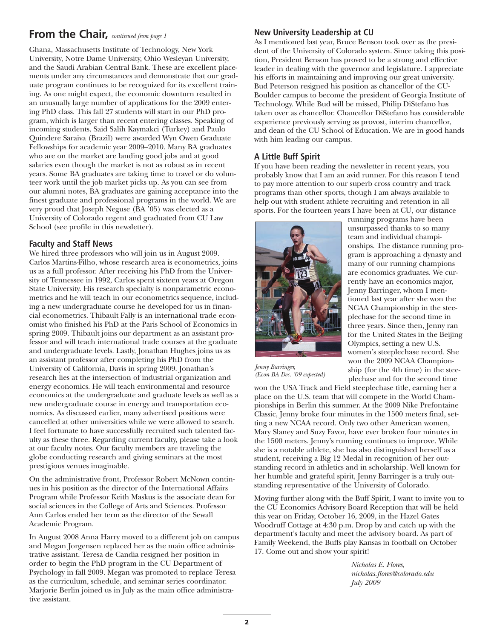### **From the Chair,** *continued from page 1*

Ghana, Massachusetts Institute of Technology, New York University, Notre Dame University, Ohio Wesleyan University, and the Saudi Arabian Central Bank. These are excellent placements under any circumstances and demonstrate that our graduate program continues to be recognized for its excellent training. As one might expect, the economic downturn resulted in an unusually large number of applications for the 2009 entering PhD class. This fall 27 students will start in our PhD program, which is larger than recent entering classes. Speaking of incoming students, Said Salih Kaymakci (Turkey) and Paulo Quindere Saraiva (Brazil) were awarded Wyn Owen Graduate Fellowships for academic year 2009–2010. Many BA graduates who are on the market are landing good jobs and at good salaries even though the market is not as robust as in recent years. Some BA graduates are taking time to travel or do volunteer work until the job market picks up. As you can see from our alumni notes, BA graduates are gaining acceptance into the finest graduate and professional programs in the world. We are very proud that Joseph Neguse (BA '05) was elected as a University of Colorado regent and graduated from CU Law School (see profile in this newsletter).

### **Faculty and Staff News**

We hired three professors who will join us in August 2009. Carlos Martins-Filho, whose research area is econometrics, joins us as a full professor. After receiving his PhD from the University of Tennessee in 1992, Carlos spent sixteen years at Oregon State University. His research specialty is nonparametric econometrics and he will teach in our econometrics sequence, including a new undergraduate course he developed for us in financial econometrics. Thibault Fally is an international trade economist who finished his PhD at the Paris School of Economics in spring 2009. Thibault joins our department as an assistant professor and will teach international trade courses at the graduate and undergraduate levels. Lastly, Jonathan Hughes joins us as an assistant professor after completing his PhD from the University of California, Davis in spring 2009. Jonathan's research lies at the intersection of industrial organization and energy economics. He will teach environmental and resource economics at the undergraduate and graduate levels as well as a new undergraduate course in energy and transportation economics. As discussed earlier, many advertised positions were cancelled at other universities while we were allowed to search. I feel fortunate to have successfully recruited such talented faculty as these three. Regarding current faculty, please take a look at our faculty notes. Our faculty members are traveling the globe conducting research and giving seminars at the most prestigious venues imaginable.

On the administrative front, Professor Robert McNown continues in his position as the director of the International Affairs Program while Professor Keith Maskus is the associate dean for social sciences in the College of Arts and Sciences. Professor Ann Carlos ended her term as the director of the Sewall Academic Program.

In August 2008 Anna Harry moved to a different job on campus and Megan Jorgensen replaced her as the main office administrative assistant. Teresa de Candia resigned her position in order to begin the PhD program in the CU Department of Psychology in fall 2009. Megan was promoted to replace Teresa as the curriculum, schedule, and seminar series coordinator. Marjorie Berlin joined us in July as the main office administrative assistant.

### **New University Leadership at CU**

As I mentioned last year, Bruce Benson took over as the president of the University of Colorado system. Since taking this position, President Benson has proved to be a strong and effective leader in dealing with the governor and legislature. I appreciate his efforts in maintaining and improving our great university. Bud Peterson resigned his position as chancellor of the CU-Boulder campus to become the president of Georgia Institute of Technology. While Bud will be missed, Philip DiStefano has taken over as chancellor. Chancellor DiStefano has considerable experience previously serving as provost, interim chancellor, and dean of the CU School of Education. We are in good hands with him leading our campus.

### **A Little Buff Spirit**

If you have been reading the newsletter in recent years, you probably know that I am an avid runner. For this reason I tend to pay more attention to our superb cross country and track programs than other sports, though I am always available to help out with student athlete recruiting and retention in all sports. For the fourteen years I have been at CU, our distance



running programs have been unsurpassed thanks to so many team and individual championships. The distance running program is approaching a dynasty and many of our running champions are economics graduates. We currently have an economics major, Jenny Barringer, whom I mentioned last year after she won the NCAA Championship in the steeplechase for the second time in three years. Since then, Jenny ran for the United States in the Beijing Olympics, setting a new U.S. women's steeplechase record. She won the 2009 NCAA Championship (for the 4th time) in the steeplechase and for the second time

*Jenny Barringer, (Econ BA Dec. '09 expected)*

won the USA Track and Field steeplechase title, earning her a place on the U.S. team that will compete in the World Championships in Berlin this summer. At the 2009 Nike Prefontaine Classic, Jenny broke four minutes in the 1500 meters final, setting a new NCAA record. Only two other American women, Mary Slaney and Suzy Favor, have ever broken four minutes in the 1500 meters. Jenny's running continues to improve. While she is a notable athlete, she has also distinguished herself as a student, receiving a Big 12 Medal in recognition of her outstanding record in athletics and in scholarship. Well known for her humble and grateful spirit, Jenny Barringer is a truly outstanding representative of the University of Colorado.

Moving further along with the Buff Spirit, I want to invite you to the CU Economics Advisory Board Reception that will be held this year on Friday, October 16, 2009, in the Hazel Gates Woodruff Cottage at 4:30 p.m. Drop by and catch up with the department's faculty and meet the advisory board. As part of Family Weekend, the Buffs play Kansas in football on October 17. Come out and show your spirit!

> *Nicholas E. Flores, nicholas.flores@colorado.edu July 2009*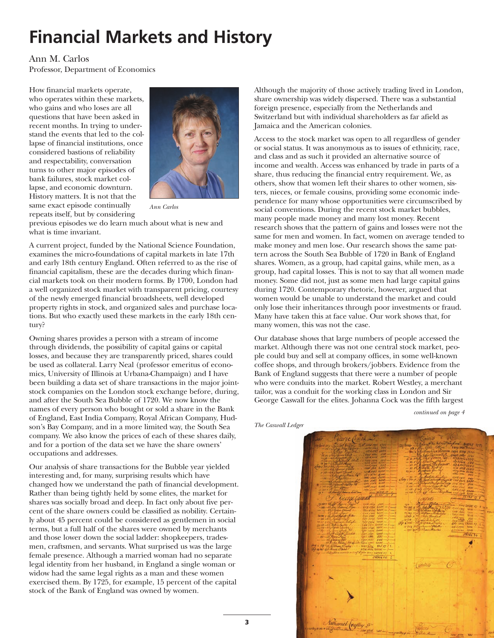### **Financial Markets and History**

#### Ann M. Carlos

Professor, Department of Economics

How financial markets operate, who operates within these markets, who gains and who loses are all questions that have been asked in recent months. In trying to understand the events that led to the collapse of financial institutions, once considered bastions of reliability and respectability, conversation turns to other major episodes of bank failures, stock market collapse, and economic downturn. History matters. It is not that the same exact episode continually repeats itself, but by considering



*Ann Carlos*

previous episodes we do learn much about what is new and what is time invariant.

A current project, funded by the National Science Foundation, examines the micro-foundations of capital markets in late 17th and early 18th century England. Often referred to as the rise of financial capitalism, these are the decades during which financial markets took on their modern forms. By 1700, London had a well organized stock market with transparent pricing, courtesy of the newly emerged financial broadsheets, well developed property rights in stock, and organized sales and purchase locations. But who exactly used these markets in the early 18th century?

Owning shares provides a person with a stream of income through dividends, the possibility of capital gains or capital losses, and because they are transparently priced, shares could be used as collateral. Larry Neal (professor emeritus of economics, University of Illinois at Urbana-Champaign) and I have been building a data set of share transactions in the major jointstock companies on the London stock exchange before, during, and after the South Sea Bubble of 1720. We now know the names of every person who bought or sold a share in the Bank of England, East India Company, Royal African Company, Hudson's Bay Company, and in a more limited way, the South Sea company. We also know the prices of each of these shares daily, and for a portion of the data set we have the share owners' occupations and addresses.

Our analysis of share transactions for the Bubble year yielded interesting and, for many, surprising results which have changed how we understand the path of financial development. Rather than being tightly held by some elites, the market for shares was socially broad and deep. In fact only about five percent of the share owners could be classified as nobility. Certainly about 45 percent could be considered as gentlemen in social terms, but a full half of the shares were owned by merchants and those lower down the social ladder: shopkeepers, tradesmen, craftsmen, and servants. What surprised us was the large female presence. Although a married woman had no separate legal identity from her husband, in England a single woman or widow had the same legal rights as a man and these women exercised them. By 1725, for example, 15 percent of the capital stock of the Bank of England was owned by women.

Although the majority of those actively trading lived in London, share ownership was widely dispersed. There was a substantial foreign presence, especially from the Netherlands and Switzerland but with individual shareholders as far afield as Jamaica and the American colonies.

Access to the stock market was open to all regardless of gender or social status. It was anonymous as to issues of ethnicity, race, and class and as such it provided an alternative source of income and wealth. Access was enhanced by trade in parts of a share, thus reducing the financial entry requirement. We, as others, show that women left their shares to other women, sisters, nieces, or female cousins, providing some economic independence for many whose opportunities were circumscribed by social conventions. During the recent stock market bubbles, many people made money and many lost money. Recent research shows that the pattern of gains and losses were not the same for men and women. In fact, women on average tended to make money and men lose. Our research shows the same pattern across the South Sea Bubble of 1720 in Bank of England shares. Women, as a group, had capital gains, while men, as a group, had capital losses. This is not to say that all women made money. Some did not, just as some men had large capital gains during 1720. Contemporary rhetoric, however, argued that women would be unable to understand the market and could only lose their inheritances through poor investments or fraud. Many have taken this at face value. Our work shows that, for many women, this was not the case.

Our database shows that large numbers of people accessed the market. Although there was not one central stock market, people could buy and sell at company offices, in some well-known coffee shops, and through brokers/jobbers. Evidence from the Bank of England suggests that there were a number of people who were conduits into the market. Robert Westley, a merchant tailor, was a conduit for the working class in London and Sir George Caswall for the elites. Johanna Cock was the fifth largest

*continued on page 4*

*The Caswall Ledger*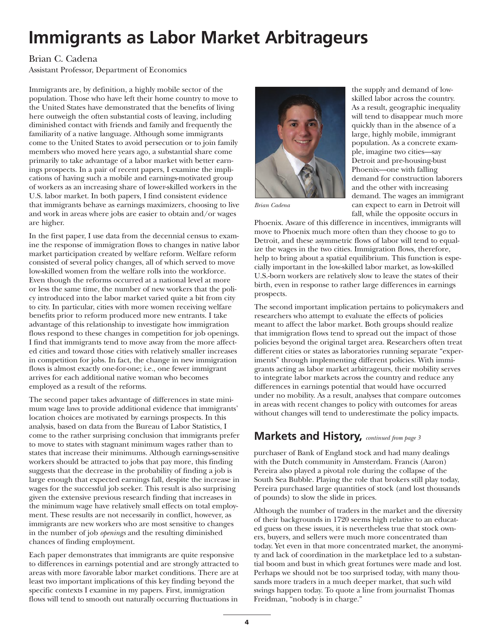# **Immigrants as Labor Market Arbitrageurs**

### Brian C. Cadena

Assistant Professor, Department of Economics

Immigrants are, by definition, a highly mobile sector of the population. Those who have left their home country to move to the United States have demonstrated that the benefits of living here outweigh the often substantial costs of leaving, including diminished contact with friends and family and frequently the familiarity of a native language. Although some immigrants come to the United States to avoid persecution or to join family members who moved here years ago, a substantial share come primarily to take advantage of a labor market with better earnings prospects. In a pair of recent papers, I examine the implications of having such a mobile and earnings-motivated group of workers as an increasing share of lower-skilled workers in the U.S. labor market. In both papers, I find consistent evidence that immigrants behave as earnings maximizers, choosing to live and work in areas where jobs are easier to obtain and/or wages are higher.

In the first paper, I use data from the decennial census to examine the response of immigration flows to changes in native labor market participation created by welfare reform. Welfare reform consisted of several policy changes, all of which served to move low-skilled women from the welfare rolls into the workforce. Even though the reforms occurred at a national level at more or less the same time, the number of new workers that the policy introduced into the labor market varied quite a bit from city to city. In particular, cities with more women receiving welfare benefits prior to reform produced more new entrants. I take advantage of this relationship to investigate how immigration flows respond to these changes in competition for job openings. I find that immigrants tend to move away from the more affected cities and toward those cities with relatively smaller increases in competition for jobs. In fact, the change in new immigration flows is almost exactly one-for-one; i.e., one fewer immigrant arrives for each additional native woman who becomes employed as a result of the reforms.

The second paper takes advantage of differences in state minimum wage laws to provide additional evidence that immigrants' location choices are motivated by earnings prospects. In this analysis, based on data from the Bureau of Labor Statistics, I come to the rather surprising conclusion that immigrants prefer to move to states with stagnant minimum wages rather than to states that increase their minimums. Although earnings-sensitive workers should be attracted to jobs that pay more, this finding suggests that the decrease in the probability of finding a job is large enough that expected earnings fall, despite the increase in wages for the successful job seeker. This result is also surprising given the extensive previous research finding that increases in the minimum wage have relatively small effects on total employment. These results are not necessarily in conflict, however, as immigrants are new workers who are most sensitive to changes in the number of job *openings* and the resulting diminished chances of finding employment.

Each paper demonstrates that immigrants are quite responsive to differences in earnings potential and are strongly attracted to areas with more favorable labor market conditions. There are at least two important implications of this key finding beyond the specific contexts I examine in my papers. First, immigration flows will tend to smooth out naturally occurring fluctuations in



the supply and demand of lowskilled labor across the country. As a result, geographic inequality will tend to disappear much more quickly than in the absence of a large, highly mobile, immigrant population. As a concrete example, imagine two cities—say Detroit and pre-housing-bust Phoenix—one with falling demand for construction laborers and the other with increasing demand. The wages an immigrant can expect to earn in Detroit will fall, while the opposite occurs in

*Brian Cadena*

Phoenix. Aware of this difference in incentives, immigrants will move to Phoenix much more often than they choose to go to Detroit, and these asymmetric flows of labor will tend to equalize the wages in the two cities. Immigration flows, therefore, help to bring about a spatial equilibrium. This function is especially important in the low-skilled labor market, as low-skilled U.S.-born workers are relatively slow to leave the states of their birth, even in response to rather large differences in earnings prospects.

The second important implication pertains to policymakers and researchers who attempt to evaluate the effects of policies meant to affect the labor market. Both groups should realize that immigration flows tend to spread out the impact of those policies beyond the original target area. Researchers often treat different cities or states as laboratories running separate "experiments" through implementing different policies. With immigrants acting as labor market arbitrageurs, their mobility serves to integrate labor markets across the country and reduce any differences in earnings potential that would have occurred under no mobility. As a result, analyses that compare outcomes in areas with recent changes to policy with outcomes for areas without changes will tend to underestimate the policy impacts.

### **Markets and History,** *continued from page 3*

purchaser of Bank of England stock and had many dealings with the Dutch community in Amsterdam. Francis (Aaron) Pereira also played a pivotal role during the collapse of the South Sea Bubble. Playing the role that brokers still play today, Pereira purchased large quantities of stock (and lost thousands of pounds) to slow the slide in prices.

Although the number of traders in the market and the diversity of their backgrounds in 1720 seems high relative to an educated guess on these issues, it is nevertheless true that stock owners, buyers, and sellers were much more concentrated than today. Yet even in that more concentrated market, the anonymity and lack of coordination in the marketplace led to a substantial boom and bust in which great fortunes were made and lost. Perhaps we should not be too surprised today, with many thousands more traders in a much deeper market, that such wild swings happen today. To quote a line from journalist Thomas Freidman, "nobody is in charge."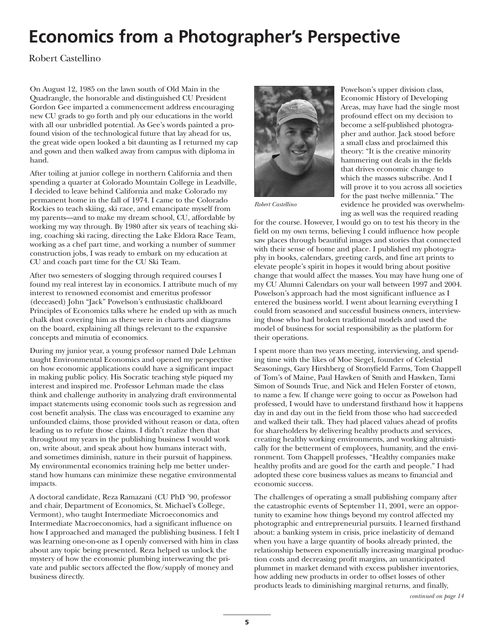# **Economics from a Photographer's Perspective**

Robert Castellino

On August 12, 1985 on the lawn south of Old Main in the Quadrangle, the honorable and distinguished CU President Gordon Gee imparted a commencement address encouraging new CU grads to go forth and ply our educations in the world with all our unbridled potential. As Gee's words painted a profound vision of the technological future that lay ahead for us, the great wide open looked a bit daunting as I returned my cap and gown and then walked away from campus with diploma in hand.

After toiling at junior college in northern California and then spending a quarter at Colorado Mountain College in Leadville, I decided to leave behind California and make Colorado my permanent home in the fall of 1974. I came to the Colorado Rockies to teach skiing, ski race, and emancipate myself from my parents—and to make my dream school, CU, affordable by working my way through. By 1980 after six years of teaching skiing, coaching ski racing, directing the Lake Eldora Race Team, working as a chef part time, and working a number of summer construction jobs, I was ready to embark on my education at CU and coach part time for the CU Ski Team.

After two semesters of slogging through required courses I found my real interest lay in economics. I attribute much of my interest to renowned economist and emeritus professor (deceased) John "Jack" Powelson's enthusiastic chalkboard Principles of Economics talks where he ended up with as much chalk dust covering him as there were in charts and diagrams on the board, explaining all things relevant to the expansive concepts and minutia of economics.

During my junior year, a young professor named Dale Lehman taught Environmental Economics and opened my perspective on how economic applications could have a significant impact in making public policy. His Socratic teaching style piqued my interest and inspired me. Professor Lehman made the class think and challenge authority in analyzing draft environmental impact statements using economic tools such as regression and cost benefit analysis. The class was encouraged to examine any unfounded claims, those provided without reason or data, often leading us to refute those claims. I didn't realize then that throughout my years in the publishing business I would work on, write about, and speak about how humans interact with, and sometimes diminish, nature in their pursuit of happiness. My environmental economics training help me better understand how humans can minimize these negative environmental impacts.

A doctoral candidate, Reza Ramazani (CU PhD '90, professor and chair, Department of Economics, St. Michael's College, Vermont), who taught Intermediate Microeconomics and Intermediate Macroeconomics, had a significant influence on how I approached and managed the publishing business. I felt I was learning one-on-one as I openly conversed with him in class about any topic being presented. Reza helped us unlock the mystery of how the economic plumbing interweaving the private and public sectors affected the flow/supply of money and business directly.



Powelson's upper division class, Economic History of Developing Areas, may have had the single most profound effect on my decision to become a self-published photographer and author. Jack stood before a small class and proclaimed this theory: "It is the creative minority hammering out deals in the fields that drives economic change to which the masses subscribe. And I will prove it to you across all societies for the past twelve millennia." The evidence he provided was overwhelming as well was the required reading

*Robert Castellino*

for the course. However, I would go on to test his theory in the field on my own terms, believing I could influence how people saw places through beautiful images and stories that connected with their sense of home and place. I published my photography in books, calendars, greeting cards, and fine art prints to elevate people's spirit in hopes it would bring about positive change that would affect the masses. You may have hung one of my CU Alumni Calendars on your wall between 1997 and 2004. Powelson's approach had the most significant influence as I entered the business world. I went about learning everything I could from seasoned and successful business owners, interviewing those who had broken traditional models and used the model of business for social responsibility as the platform for their operations.

I spent more than two years meeting, interviewing, and spending time with the likes of Moe Siegel, founder of Celestial Seasonings, Gary Hirshberg of Stonyfield Farms, Tom Chappell of Tom's of Maine, Paul Hawken of Smith and Hawken, Tami Simon of Sounds True, and Nick and Helen Forster of etown, to name a few. If change were going to occur as Powelson had professed, I would have to understand firsthand how it happens day in and day out in the field from those who had succeeded and walked their talk. They had placed values ahead of profits for shareholders by delivering healthy products and services, creating healthy working environments, and working altruistically for the betterment of employees, humanity, and the environment. Tom Chappell professes, "Healthy companies make healthy profits and are good for the earth and people." I had adopted these core business values as means to financial and economic success.

The challenges of operating a small publishing company after the catastrophic events of September 11, 2001, were an opportunity to examine how things beyond my control affected my photographic and entrepreneurial pursuits. I learned firsthand about: a banking system in crisis, price inelasticity of demand when you have a large quantity of books already printed, the relationship between exponentially increasing marginal production costs and decreasing profit margins, an unanticipated plummet in market demand with excess publisher inventories, how adding new products in order to offset losses of other products leads to diminishing marginal returns, and finally,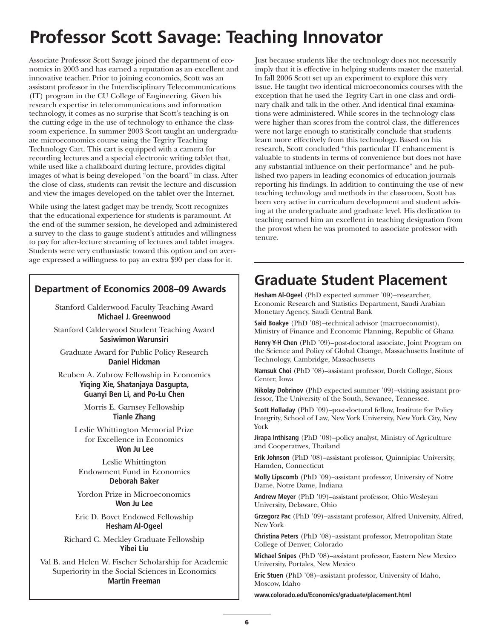# **Professor Scott Savage: Teaching Innovator**

Associate Professor Scott Savage joined the department of economics in 2003 and has earned a reputation as an excellent and innovative teacher. Prior to joining economics, Scott was an assistant professor in the Interdisciplinary Telecommunications (IT) program in the CU College of Engineering. Given his research expertise in telecommunications and information technology, it comes as no surprise that Scott's teaching is on the cutting edge in the use of technology to enhance the classroom experience. In summer 2003 Scott taught an undergraduate microeconomics course using the Tegrity Teaching Technology Cart. This cart is equipped with a camera for recording lectures and a special electronic writing tablet that, while used like a chalkboard during lecture, provides digital images of what is being developed "on the board" in class. After the close of class, students can revisit the lecture and discussion and view the images developed on the tablet over the Internet.

While using the latest gadget may be trendy, Scott recognizes that the educational experience for students is paramount. At the end of the summer session, he developed and administered a survey to the class to gauge student's attitudes and willingness to pay for after-lecture streaming of lectures and tablet images. Students were very enthusiastic toward this option and on average expressed a willingness to pay an extra \$90 per class for it.

### **Department of Economics 2008–09 Awards**

Stanford Calderwood Faculty Teaching Award **Michael J. Greenwood**

Stanford Calderwood Student Teaching Award **Sasiwimon Warunsiri**

Graduate Award for Public Policy Research **Daniel Hickman**

Reuben A. Zubrow Fellowship in Economics **Yiqing Xie, Shatanjaya Dasgupta, Guanyi Ben Li, and Po-Lu Chen**

> Morris E. Garnsey Fellowship **Tianle Zhang**

Leslie Whittington Memorial Prize for Excellence in Economics **Won Ju Lee**

Leslie Whittington Endowment Fund in Economics **Deborah Baker**

Yordon Prize in Microeconomics **Won Ju Lee**

Eric D. Bovet Endowed Fellowship **Hesham Al-Ogeel**

Richard C. Meckley Graduate Fellowship **Yibei Liu**

Val B. and Helen W. Fischer Scholarship for Academic Superiority in the Social Sciences in Economics **Martin Freeman**

Just because students like the technology does not necessarily imply that it is effective in helping students master the material. In fall 2006 Scott set up an experiment to explore this very issue. He taught two identical microeconomics courses with the exception that he used the Tegrity Cart in one class and ordinary chalk and talk in the other. And identical final examinations were administered. While scores in the technology class were higher than scores from the control class, the differences were not large enough to statistically conclude that students learn more effectively from this technology. Based on his research, Scott concluded "this particular IT enhancement is valuable to students in terms of convenience but does not have any substantial influence on their performance" and he published two papers in leading economics of education journals reporting his findings. In addition to continuing the use of new teaching technology and methods in the classroom, Scott has been very active in curriculum development and student advising at the undergraduate and graduate level. His dedication to teaching earned him an excellent in teaching designation from the provost when he was promoted to associate professor with tenure.

### **Graduate Student Placement**

**Hesham Al-Ogeel** (PhD expected summer '09)–researcher, Economic Research and Statistics Department, Saudi Arabian Monetary Agency, Saudi Central Bank

**Said Boakye** (PhD '08)–technical advisor (macroeconomist), Ministry of Finance and Economic Planning, Republic of Ghana

**Henry Y-H Chen** (PhD '09)–post-doctoral associate, Joint Program on the Science and Policy of Global Change, Massachusetts Institute of Technology, Cambridge, Massachusetts

**Namsuk Choi** (PhD '08)–assistant professor, Dordt College, Sioux Center, Iowa

**Nikolay Dobrinov** (PhD expected summer '09)–visiting assistant professor, The University of the South, Sewanee, Tennessee.

**Scott Holladay** (PhD '09)–post-doctoral fellow, Institute for Policy Integrity, School of Law, New York University, New York City, New York

**Jirapa Inthisang** (PhD '08)–policy analyst, Ministry of Agriculture and Cooperatives, Thailand

**Erik Johnson** (PhD '08)–assistant professor, Quinnipiac University, Hamden, Connecticut

**Molly Lipscomb** (PhD '09)–assistant professor, University of Notre Dame, Notre Dame, Indiana

**Andrew Meyer** (PhD '09)–assistant professor, Ohio Wesleyan University, Delaware, Ohio

**Grzegorz Pac** (PhD '09)–assistant professor, Alfred University, Alfred, New York

**Christina Peters** (PhD '08)–assistant professor, Metropolitan State College of Denver, Colorado

**Michael Snipes** (PhD '08)–assistant professor, Eastern New Mexico University, Portales, New Mexico

**Eric Stuen** (PhD '08)–assistant professor, University of Idaho, Moscow, Idaho

**www.colorado.edu/Economics/graduate/placement.html**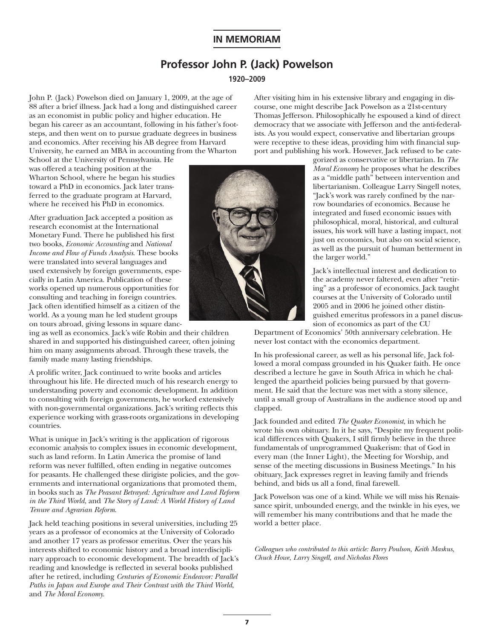### **IN MEMORIAM**

### **Professor John P. (Jack) Powelson**

#### **1920–2009**

John P. (Jack) Powelson died on January 1, 2009, at the age of 88 after a brief illness. Jack had a long and distinguished career as an economist in public policy and higher education. He began his career as an accountant, following in his father's footsteps, and then went on to pursue graduate degrees in business and economics. After receiving his AB degree from Harvard University, he earned an MBA in accounting from the Wharton

School at the University of Pennsylvania. He was offered a teaching position at the Wharton School, where he began his studies toward a PhD in economics. Jack later transferred to the graduate program at Harvard, where he received his PhD in economics.

After graduation Jack accepted a position as research economist at the International Monetary Fund. There he published his first two books, *Economic Accounting* and *National Income and Flow of Funds Analysis*. These books were translated into several languages and used extensively by foreign governments, especially in Latin America. Publication of these works opened up numerous opportunities for consulting and teaching in foreign countries. Jack often identified himself as a citizen of the world. As a young man he led student groups on tours abroad, giving lessons in square danc-

ing as well as economics. Jack's wife Robin and their children shared in and supported his distinguished career, often joining him on many assignments abroad. Through these travels, the family made many lasting friendships.

A prolific writer, Jack continued to write books and articles throughout his life. He directed much of his research energy to understanding poverty and economic development. In addition to consulting with foreign governments, he worked extensively with non-governmental organizations. Jack's writing reflects this experience working with grass-roots organizations in developing countries.

What is unique in Jack's writing is the application of rigorous economic analysis to complex issues in economic development, such as land reform. In Latin America the promise of land reform was never fulfilled, often ending in negative outcomes for peasants. He challenged these dirigiste policies, and the governments and international organizations that promoted them, in books such as *The Peasant Betrayed: Agriculture and Land Reform in the Third World*, and *The Story of Land: A World History of Land Tenure and Agrarian Reform*.

Jack held teaching positions in several universities, including 25 years as a professor of economics at the University of Colorado and another 17 years as professor emeritus. Over the years his interests shifted to economic history and a broad interdisciplinary approach to economic development. The breadth of Jack's reading and knowledge is reflected in several books published after he retired, including *Centuries of Economic Endeavor: Parallel Paths in Japan and Europe and Their Contrast with the Third World*, and *The Moral Economy*.

After visiting him in his extensive library and engaging in discourse, one might describe Jack Powelson as a 21st-century Thomas Jefferson. Philosophically he espoused a kind of direct democracy that we associate with Jefferson and the anti-federalists. As you would expect, conservative and libertarian groups were receptive to these ideas, providing him with financial support and publishing his work. However, Jack refused to be cate-

gorized as conservative or libertarian. In *The Moral Economy* he proposes what he describes as a "middle path" between intervention and libertarianism. Colleague Larry Singell notes, "Jack's work was rarely confined by the narrow boundaries of economics. Because he integrated and fused economic issues with philosophical, moral, historical, and cultural issues, his work will have a lasting impact, not just on economics, but also on social science, as well as the pursuit of human betterment in the larger world."

Jack's intellectual interest and dedication to the academy never faltered, even after "retiring" as a professor of economics. Jack taught courses at the University of Colorado until 2005 and in 2006 he joined other distinguished emeritus professors in a panel discussion of economics as part of the CU

Department of Economics' 50th anniversary celebration. He never lost contact with the economics department.

In his professional career, as well as his personal life, Jack followed a moral compass grounded in his Quaker faith. He once described a lecture he gave in South Africa in which he challenged the apartheid policies being pursued by that government. He said that the lecture was met with a stony silence, until a small group of Australians in the audience stood up and clapped.

Jack founded and edited *The Quaker Economist*, in which he wrote his own obituary. In it he says, "Despite my frequent political differences with Quakers, I still firmly believe in the three fundamentals of unprogrammed Quakerism: that of God in every man (the Inner Light), the Meeting for Worship, and sense of the meeting discussions in Business Meetings." In his obituary, Jack expresses regret in leaving family and friends behind, and bids us all a fond, final farewell.

Jack Powelson was one of a kind. While we will miss his Renaissance spirit, unbounded energy, and the twinkle in his eyes, we will remember his many contributions and that he made the world a better place.

*Colleagues who contributed to this article: Barry Poulson, Keith Maskus, Chuck Howe, Larry Singell, and Nicholas Flores*

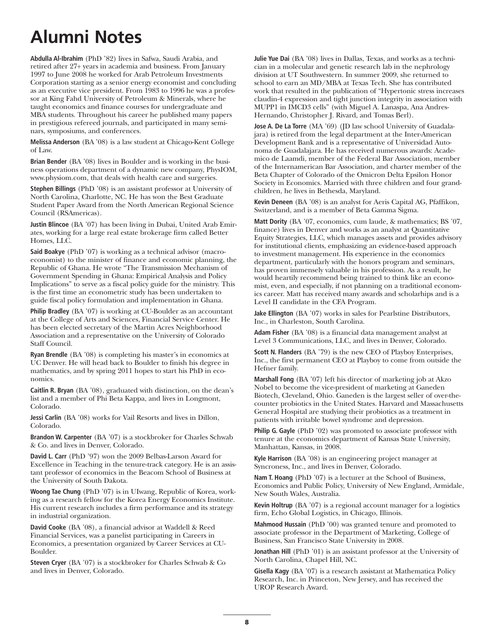# **Alumni Notes**

**Abdulla Al-Ibrahim** (PhD '82) lives in Safwa, Saudi Arabia, and retired after 27+ years in academia and business. From January 1997 to June 2008 he worked for Arab Petroleum Investments Corporation starting as a senior energy economist and concluding as an executive vice president. From 1983 to 1996 he was a professor at King Fahd University of Petroleum & Minerals, where he taught economics and finance courses for undergraduate and MBA students. Throughout his career he published many papers in prestigious refereed journals, and participated in many seminars, symposiums, and conferences.

**Melissa Anderson** (BA '08) is a law student at Chicago-Kent College of Law.

**Brian Bender** (BA '08) lives in Boulder and is working in the business operations department of a dynamic new company, PhysIOM, www.physiom.com, that deals with health care and surgeries.

**Stephen Billings** (PhD '08) is an assistant professor at University of North Carolina, Charlotte, NC. He has won the Best Graduate Student Paper Award from the North American Regional Science Council (RSAmericas).

**Justin Blincoe** (BA '07) has been living in Dubai, United Arab Emirates, working for a large real estate brokerage firm called Better Homes, LLC.

**Said Boakye** (PhD '07) is working as a technical advisor (macroeconomist) to the minister of finance and economic planning, the Republic of Ghana. He wrote "The Transmission Mechanism of Government Spending in Ghana: Empirical Analysis and Policy Implications" to serve as a fiscal policy guide for the ministry. This is the first time an econometric study has been undertaken to guide fiscal policy formulation and implementation in Ghana.

**Philip Bradley** (BA '07) is working at CU-Boulder as an accountant at the College of Arts and Sciences, Financial Service Center. He has been elected secretary of the Martin Acres Neighborhood Association and a representative on the University of Colorado Staff Council.

**Ryan Brendle** (BA '08) is completing his master's in economics at UC Denver. He will head back to Boulder to finish his degree in mathematics, and by spring 2011 hopes to start his PhD in economics.

**Caitlin R. Bryan** (BA '08), graduated with distinction, on the dean's list and a member of Phi Beta Kappa, and lives in Longmont, Colorado.

**Jessi Carlin** (BA '08) works for Vail Resorts and lives in Dillon, Colorado.

**Brandon W. Carpenter** (BA '07) is a stockbroker for Charles Schwab & Co. and lives in Denver, Colorado.

**David L. Carr** (PhD '97) won the 2009 Belbas-Larson Award for Excellence in Teaching in the tenure-track category. He is an assistant professor of economics in the Beacom School of Business at the University of South Dakota.

**Woong Tae Chung** (PhD '07) is in UIwang, Republic of Korea, working as a research fellow for the Korea Energy Economics Institute. His current research includes a firm performance and its strategy in industrial organization.

**David Cooke** (BA '08), a financial advisor at Waddell & Reed Financial Services, was a panelist participating in Careers in Economics, a presentation organized by Career Services at CU-Boulder.

**Steven Cryer** (BA '07) is a stockbroker for Charles Schwab & Co and lives in Denver, Colorado.

**Julie Yue Dai** (BA '08) lives in Dallas, Texas, and works as a technician in a molecular and genetic research lab in the nephrology division at UT Southwestern. In summer 2009, she returned to school to earn an MD/MBA at Texas Tech. She has contributed work that resulted in the publication of "Hypertonic stress increases claudin-4 expression and tight junction integrity in association with MUPP1 in IMCD3 cells" (with Miguel A. Lanaspa, Ana Andres-Hernando, Christopher J. Rivard, and Tomas Berl).

**Jose A. De La Torre** (MA '69) (JD law school University of Guadalajara) is retired from the legal department at the Inter-American Development Bank and is a representative of Universidad Autonoma de Guadalajara. He has received numerous awards: Academico de Laamdi, member of the Federal Bar Association, member of the Internamerican Bar Association, and charter member of the Beta Chapter of Colorado of the Omicron Delta Epsilon Honor Society in Economics. Married with three children and four grandchildren, he lives in Bethesda, Maryland.

**Kevin Deneen** (BA '08) is an analyst for Aeris Capital AG, Pfaffikon, Switzerland, and is a member of Beta Gamma Sigma.

**Matt Dority** (BA '07, economics, cum laude, & mathematics; BS '07, finance) lives in Denver and works as an analyst at Quantitative Equity Strategies, LLC, which manages assets and provides advisory for institutional clients, emphasizing an evidence-based approach to investment management. His experience in the economics department, particularly with the honors program and seminars, has proven immensely valuable in his profession. As a result, he would heartily recommend being trained to think like an economist, even, and especially, if not planning on a traditional economics career. Matt has received many awards and scholarhips and is a Level II candidate in the CFA Program.

**Jake Ellington** (BA '07) works in sales for Pearlstine Distributors, Inc., in Charleston, South Carolina.

**Adam Fisher** (BA '08) is a financial data management analyst at Level 3 Communications, LLC, and lives in Denver, Colorado.

**Scott N. Flanders** (BA '79) is the new CEO of Playboy Enterprises, Inc., the first permanent CEO at Playboy to come from outside the Hefner family.

**Marshall Fong** (BA '07) left his director of marketing job at Akzo Nobel to become the vice-president of marketing at Ganeden Biotech, Cleveland, Ohio. Ganeden is the largest seller of over-thecounter probiotics in the United States. Harvard and Massachusetts General Hospital are studying their probiotics as a treatment in patients with irritable bowel syndrome and depression.

**Philip G. Gayle** (PhD '02) was promoted to associate professor with tenure at the economics department of Kansas State University, Manhattan, Kansas, in 2008.

**Kyle Harrison** (BA '08) is an engineering project manager at Syncroness, Inc., and lives in Denver, Colorado.

**Nam T. Hoang** (PhD '07) is a lecturer at the School of Business, Economics and Public Policy, University of New England, Armidale, New South Wales, Australia.

**Kevin Holtrup** (BA '07) is a regional account manager for a logistics firm, Echo Global Logistics, in Chicago, Illinois.

**Mahmood Hussain** (PhD '00) was granted tenure and promoted to associate professor in the Department of Marketing, College of Business, San Francisco State University in 2008.

**Jonathan Hill** (PhD '01) is an assistant professor at the University of North Carolina, Chapel Hill, NC.

**Gisella Kagy** (BA '07) is a research assistant at Mathematica Policy Research, Inc. in Princeton, New Jersey, and has received the UROP Research Award.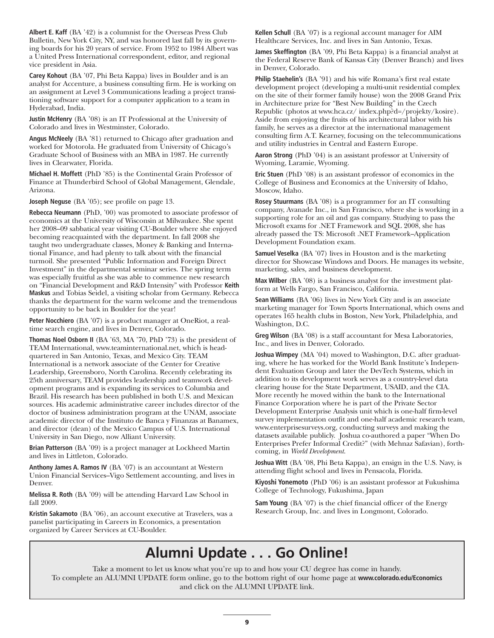**Albert E. Kaff** (BA '42) is a columnist for the Overseas Press Club Bulletin, New York City, NY, and was honored last fall by its governing boards for his 20 years of service. From 1952 to 1984 Albert was a United Press International correspondent, editor, and regional vice president in Asia.

**Carey Kohout** (BA '07, Phi Beta Kappa) lives in Boulder and is an analyst for Accenture, a business consulting firm. He is working on an assignment at Level 3 Communications leading a project transitioning software support for a computer application to a team in Hyderabad, India.

**Justin McHenry** (BA '08) is an IT Professional at the University of Colorado and lives in Westminster, Colorado.

**Angus McNeely** (BA '81) returned to Chicago after graduation and worked for Motorola. He graduated from University of Chicago's Graduate School of Business with an MBA in 1987. He currently lives in Clearwater, Florida.

**Michael H. Moffett** (PhD '85) is the Continental Grain Professor of Finance at Thunderbird School of Global Management, Glendale, Arizona.

**Joseph Neguse** (BA '05); see profile on page 13.

**Rebecca Neumann** (PhD, '00) was promoted to associate professor of economics at the University of Wisconsin at Milwaukee. She spent her 2008–09 sabbatical year visiting CU-Boulder where she enjoyed becoming reacquainted with the department. In fall 2008 she taught two undergraduate classes, Money & Banking and International Finance, and had plenty to talk about with the financial turmoil. She presented "Public Information and Foreign Direct Investment" in the departmental seminar series. The spring term was especially fruitful as she was able to commence new research on "Financial Development and R&D Intensity" with Professor **Keith Maskus** and Tobias Seidel, a visiting scholar from Germany. Rebecca thanks the department for the warm welcome and the tremendous opportunity to be back in Boulder for the year!

**Peter Nocchiero** (BA '07) is a product manager at OneRiot, a realtime search engine, and lives in Denver, Colorado.

**Thomas Noel Osborn II** (BA '63, MA '70, PhD '73) is the president of TEAM International, www.teaminternational.net, which is headquartered in San Antonio, Texas, and Mexico City. TEAM International is a network associate of the Center for Creative Leadership, Greensboro, North Carolina. Recently celebrating its 25th anniversary, TEAM provides leadership and teamwork development programs and is expanding its services to Columbia and Brazil. His research has been published in both U.S. and Mexican sources. His academic administrative career includes director of the doctor of business administration program at the UNAM, associate academic director of the Instituto de Banca y Finanzas at Banamex, and director (dean) of the Mexico Campus of U.S. International University in San Diego, now Alliant University.

**Brian Patterson** (BA '09) is a project manager at Lockheed Martin and lives in Littleton, Colorado.

**Anthony James A. Ramos IV** (BA '07) is an accountant at Western Union Financial Services–Vigo Settlement accounting, and lives in Denver.

**Melissa R. Roth** (BA '09) will be attending Harvard Law School in fall 2009.

**Kristin Sakamoto** (BA '06), an account executive at Travelers, was a panelist participating in Careers in Economics, a presentation organized by Career Services at CU-Boulder.

**Kellen Schull** (BA '07) is a regional account manager for AIM Healthcare Services, Inc. and lives in San Antonio, Texas.

**James Skeffington** (BA '09, Phi Beta Kappa) is a financial analyst at the Federal Reserve Bank of Kansas City (Denver Branch) and lives in Denver, Colorado.

**Philip Staehelin's** (BA '91) and his wife Romana's first real estate development project (developing a multi-unit residential complex on the site of their former family house) won the 2008 Grand Prix in Architecture prize for "Best New Building" in the Czech Republic (photos at www.hca.cz/ index.php?d=/projekty/kosire). Aside from enjoying the fruits of his architectural labor with his family, he serves as a director at the international management consulting firm A.T. Kearney, focusing on the telecommunications and utility industries in Central and Eastern Europe.

**Aaron Strong** (PhD '04) is an assistant professor at University of Wyoming, Laramie, Wyoming.

**Eric Stuen** (PhD '08) is an assistant professor of economics in the College of Business and Economics at the University of Idaho, Moscow, Idaho.

**Rosey Stuurmans** (BA '08) is a programmer for an IT consulting company, Avanade Inc., in San Francisco, where she is working in a supporting role for an oil and gas company. Studying to pass the Microsoft exams for .NET Framework and SQL 2008, she has already passed the TS: Microsoft .NET Framework–Application Development Foundation exam.

**Samuel Veselka** (BA '07) lives in Houston and is the marketing director for Showcase Windows and Doors. He manages its website, marketing, sales, and business development.

**Max Wilber** (BA '08) is a business analyst for the investment platform at Wells Fargo, San Francisco, California.

**Sean Williams** (BA '06) lives in New York City and is an associate marketing manager for Town Sports International, which owns and operates 165 health clubs in Boston, New York, Philadelphia, and Washington, D.C.

**Greg Wilson** (BA '08) is a staff accountant for Mesa Laboratories, Inc., and lives in Denver, Colorado.

**Joshua Wimpey** (MA '04) moved to Washington, D.C. after graduating, where he has worked for the World Bank Institute's Independent Evaluation Group and later the DevTech Systems, which in addition to its development work serves as a country-level data clearing house for the State Department, USAID, and the CIA. More recently he moved within the bank to the International Finance Corporation where he is part of the Private Sector Development Enterprise Analysis unit which is one-half firm-level survey implementation outfit and one-half academic research team, www.enterprisesurveys.org, conducting surveys and making the datasets available publicly. Joshua co-authored a paper "When Do Enterprises Prefer Informal Credit?" (with Mehnaz Safavian), forthcoming, in *World Development*.

**Joshua Witt** (BA '08, Phi Beta Kappa), an ensign in the U.S. Navy, is attending flight school and lives in Pensacola, Florida.

**Kiyoshi Yonemoto** (PhD '06) is an assistant professor at Fukushima College of Technology, Fukushima, Japan

**Sam Young** (BA '07) is the chief financial officer of the Energy Research Group, Inc. and lives in Longmont, Colorado.

### **Alumni Update . . . Go Online!**

Take a moment to let us know what you're up to and how your CU degree has come in handy. To complete an ALUMNI UPDATE form online, go to the bottom right of our home page at **www.colorado.edu/Economics** and click on the ALUMNI UPDATE link.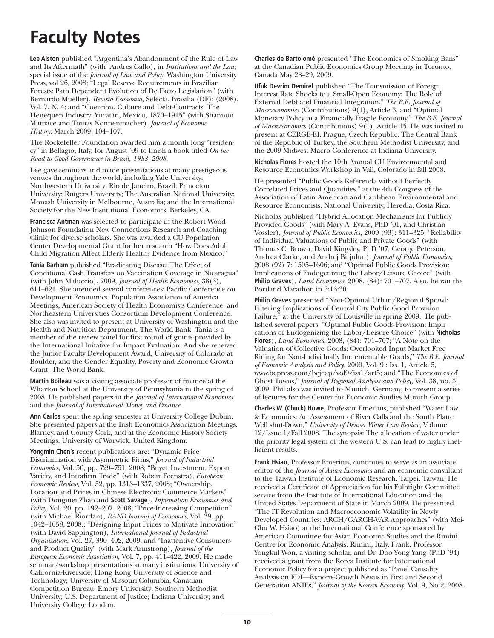# **Faculty Notes**

**Lee Alston** published "Argentina's Abandonment of the Rule of Law and Its Aftermath" (with Andres Gallo), in *Institutions and the Law,* special issue of the *Journal of Law and Policy*, Washington University Press, vol 26, 2008; "Legal Reserve Requirements in Brazilian Forests: Path Dependent Evolution of De Facto Legislation" (with Bernardo Mueller), *Revista Economia,* Selecta, Brasília (DF): (2008), Vol. 7, N. 4; and "Coercion, Culture and Debt-Contracts: The Henequen Industry: Yucatán, Mexico, 1870–1915" (with Shannon Mattiace and Tomas Nonnenmacher), *Journal of Economic History*: March 2009: 104–107.

The Rockefeller Foundation awarded him a month long "residency" in Bellagio, Italy, for August '09 to finish a book titled *On the Road to Good Governance in Brazil, 1988–2008.*

Lee gave seminars and made presentations at many prestigeous venues throughout the world, including Yale University; Northwestern University; Rio de Janeiro, Brazil; Princeton University; Rutgers University; The Australian National University; Monash University in Melbourne, Australia; and the International Society for the New Institutional Economics, Berkeley, CA.

**Francisca Antman** was selected to participate in the Robert Wood Johnson Foundation New Connections Research and Coaching Clinic for diverse scholars. She was awarded a CU Population Center Developmental Grant for her research "How Does Adult Child Migration Affect Elderly Health? Evidence from Mexico."

**Tania Barham** published "Eradicating Disease: The Effect of Conditional Cash Transfers on Vaccination Coverage in Nicaragua" (with John Maluccio), 2009, *Journal of Health Economics*, 38(3), 611–621. She attended several conferences: Pacific Conference on Development Economics, Population Association of America Meetings, American Society of Health Economists Conference, and Northeastern Universities Consortium Development Conference. She also was invited to present at University of Washington and the Health and Nutrition Department, The World Bank. Tania is a member of the review panel for first round of grants provided by the International Initative for Impact Evaluation. And she received the Junior Faculty Development Award, University of Colorado at Boulder, and the Gender Equality, Poverty and Economic Growth Grant, The World Bank.

**Martin Boileau** was a visiting associate professor of finance at the Wharton School at the University of Pennsylvania in the spring of 2008. He published papers in the *Journal of International Economics* and the *Journal of International Money and Finance.*

**Ann Carlos** spent the spring semester at University College Dublin. She presented papers at the Irish Economics Association Meetings, Blarney, and County Cork, and at the Economic History Society Meetings, University of Warwick, United Kingdom.

**Yongmin Chen's** recent publications are: "Dynamic Price Discrimination with Asymmetric Firms," *Journal of Industrial Economics*, Vol. 56, pp. 729–751, 2008; "Buyer Investment, Export Variety, and Intrafirm Trade" (with Robert Feenstra), *European Economic Review*, Vol. 52, pp. 1313–1337, 2008; "Ownership, Location and Prices in Chinese Electronic Commerce Markets" (with Dongmei Zhao and **Scott Savage**), *Information Economics and Policy*, Vol. 20, pp. 192–207, 2008; "Price-Increasing Competition" (with Michael Riordan), *RAND Journal of Economics*, Vol. 39, pp. 1042–1058, 2008.; "Designing Input Prices to Motivate Innovation" (with David Sappington), *International Journal of Industrial Organization*, Vol. 27, 390–402, 2009; and "Inattentive Consumers and Product Quality" (with Mark Armstrong), *Journal of the European Economic Association,* Vol. 7, pp. 411–422, 2009. He made seminar/workshop presentations at many institutions: University of California-Riverside; Hong Kong University of Science and Technology; University of Missouri-Columbia; Canadian Competition Bureau; Emory University; Southern Methodist University; U.S. Department of Justice; Indiana University; and University College London.

**Charles de Bartolomé** presented "The Economics of Smoking Bans" at the Canadian Public Economics Group Meetings in Toronto, Canada May 28–29, 2009.

**Ufuk Devrim Demirel** published "The Transmission of Foreign Interest Rate Shocks to a Small-Open Economy: The Role of External Debt and Financial Integration," *The B.E. Journal of Macroeconomics* (Contributions) 9(1), Article 3, and "Optimal Monetary Policy in a Financially Fragile Economy," *The B.E. Journal of Macroeconomics* (Contributions) 9(1), Article 15. He was invited to present at CERGE-EI, Prague, Czech Republic, The Central Bank of the Republic of Turkey, the Southern Methodist University, and the 2009 Midwest Macro Conference at Indiana University.

**Nicholas Flores** hosted the 10th Annual CU Environmental and Resource Economics Workshop in Vail, Colorado in fall 2008.

He presented "Public Goods Referenda without Perfectly Correlated Prices and Quantities," at the 4th Congress of the Association of Latin American and Caribbean Environmental and Resource Economists, National University, Heredia, Costa Rica.

Nicholas published "Hybrid Allocation Mechanisms for Publicly Provided Goods" (with Mary A. Evans, PhD '01, and Christian Vossler), *Journal of Public Economics*, 2009 (93): 311–325; "Reliability of Individual Valuations of Public and Private Goods" (with Thomas C. Brown, David Kingsley, PhD '07, George Peterson, Andrea Clarke, and Andrej Birjulun), *Journal of Public Economics*, 2008 (92) 7: 1595–1606; and "Optimal Public Goods Provision: Implications of Endogenizing the Labor/Leisure Choice" (with **Philip Graves**), *Land Economics*, 2008, (84): 701–707. Also, he ran the Portland Marathon in 3:13:30.

**Philip Graves** presented "Non-Optimal Urban/Regional Sprawl: Filtering Implications of Central City Public Good Provision Failure," at the University of Louisville in spring 2009. He published several papers: "Optimal Public Goods Provision: Implications of Endogenizing the Labor/Leisure Choice" (with **Nicholas Flores**), *Land Economics*, 2008, (84): 701–707; "A Note on the Valuation of Collective Goods: Overlooked Input Market Free Riding for Non-Individually Incrementable Goods," *The B.E. Journal of Economic Analysis and Policy*, 2009, Vol. 9 : Iss. 1, Article 5, www.bepress.com/bejeap/vol9/iss1/art5; and "The Economics of Ghost Towns," *Journal of Regional Analysis and Policy*, Vol. 38, no. 3, 2009. Phil also was invited to Munich, Germany, to present a series of lectures for the Center for Economic Studies Munich Group.

**Charles W. (Chuck) Howe**, Professor Emeritus, published "Water Law & Economics: An Assessment of River Calls and the South Platte Well shut-Down," *University of Denver Water Law Review*, Volume 12/Issue 1/Fall 2008. The synopsis: The allocation of water under the priority legal system of the western U.S. can lead to highly inefficient results.

**Frank Hsiao**, Professor Emeritus, continues to serve as an associate editor of the *Journal of Asian Economics* and an economic consultant to the Taiwan Institute of Economic Research, Taipei, Taiwan. He received a Certificate of Appreciation for his Fulbright Committee service from the Institute of International Education and the United States Department of State in March 2009. He presented "The IT Revolution and Macroeconomic Volatility in Newly Developed Countries: ARCH/GARCH-VAR Approaches" (with Mei-Chu W. Hsiao) at the International Conference sponsored by American Committee for Asian Economic Studies and the Rimini Centre for Economic Analysis, Rimini, Italy. Frank, Professor Yongkul Won, a visiting scholar, and Dr. Doo Yong Yang (PhD '94) received a grant from the Korea Institute for International Economic Policy for a project published as "Panel Causality Analysis on FDI—Exports-Growth Nexus in First and Second Generation ANIEs," *Journal of the Korean Economy*, Vol. 9, No.2, 2008.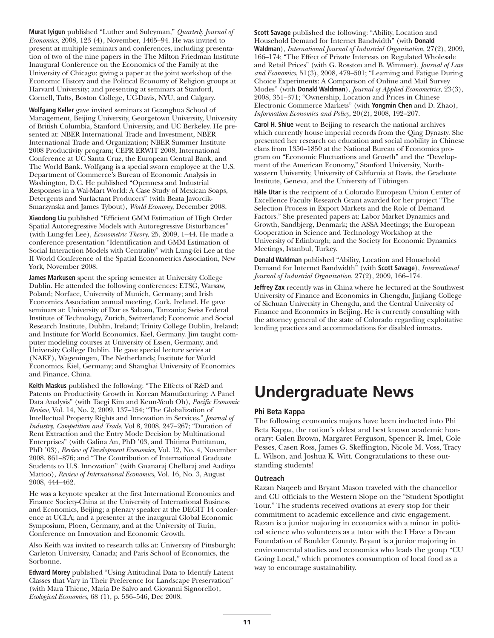**Murat Iyigun** published "Luther and Suleyman," *Quarterly Journal of Economics*, 2008, 123 (4), November, 1465–94. He was invited to present at multiple seminars and conferences, including presentation of two of the nine papers in the The Milton Friedman Institute Inaugural Conference on the Economics of the Family at the University of Chicago; giving a paper at the joint workshop of the Economic History and the Political Economy of Religion groups at Harvard University; and presenting at seminars at Stanford, Cornell, Tufts, Boston College, UC-Davis, NYU, and Calgary.

**Wolfgang Keller** gave invited seminars at Guanghua School of Management, Beijing University, Georgetown University, University of British Columbia, Stanford University, and UC Berkeley. He presented at: NBER International Trade and Investment, NBER International Trade and Organization; NBER Summer Institute 2008 Productivity program; CEPR ERWIT 2008; International Conference at UC Santa Cruz, the European Central Bank, and The World Bank. Wolfgang is a special sworn employee at the U.S. Department of Commerce's Bureau of Economic Analysis in Washington, D.C. He published "Openness and Industrial Responses in a Wal-Mart World: A Case Study of Mexican Soaps, Detergents and Surfactant Producers" (with Beata Javorcik-Smarzynska and James Tybout), *World Economy*, December 2008.

**Xiaodong Liu** published "Efficient GMM Estimation of High Order Spatial Autoregressive Models with Autoregressive Disturbances" (with Lung-fei Lee), *Econometric Theory*, 25, 2009, 1–44. He made a conference presentation "Identification and GMM Estimation of Social Interaction Models with Centrality" with Lung-fei Lee at the II World Conference of the Spatial Econometrics Association, New York, November 2008.

**James Markusen** spent the spring semester at University College Dublin. He attended the following conferences: ETSG, Warsaw, Poland; Norface, University of Munich, Germany; and Irish Economics Association annual meeting, Cork, Ireland. He gave seminars at: University of Dar es Salaam, Tanzania; Swiss Federal Institute of Technology, Zurich, Switzerland; Economic and Social Research Institute, Dublin, Ireland; Trinity College Dublin, Ireland; and Institute for World Economics, Kiel, Germany. Jim taught computer modeling courses at University of Essen, Germany, and University College Dublin. He gave special lecture series at (NAKE), Wageningen, The Netherlands; Institute for World Economics, Kiel, Germany; and Shanghai University of Economics and Finance, China.

**Keith Maskus** published the following: "The Effects of R&D and Patents on Productivity Growth in Korean Manufacturing: A Panel Data Analysis" (with Taegi Kim and Keun-Yeub Oh), *Pacific Economic Review*, Vol. 14, No. 2, 2009, 137–154; "The Globalization of Intellectual Property Rights and Innovation in Services," *Journal of Industry, Competition and Trade*, Vol 8, 2008, 247–267; "Duration of Rent Extraction and the Entry Mode Decision by Multinational Enterprises" (with Galina An, PhD '03, and Thitima Puttitanun, PhD '03), *Review of Development Economics*, Vol. 12, No. 4, November 2008, 861–876; and "The Contribution of International Graduate Students to U.S. Innovation" (with Gnanaraj Chellaraj and Aaditya Mattoo), *Review of International Economics*, Vol. 16, No. 3, August 2008, 444–462.

He was a keynote speaker at the first International Economics and Finance Society-China at the University of International Business and Economics, Beijing; a plenary speaker at the DEGIT 14 conference at UCLA; and a presenter at the inaugural Global Economic Symposium, Ploen, Germany, and at the University of Turin, Conference on Innovation and Economic Growth.

Also Keith was invited to research talks at: University of Pittsburgh; Carleton University, Canada; and Paris School of Economics, the Sorbonne.

**Edward Morey** published "Using Attitudinal Data to Identify Latent Classes that Vary in Their Preference for Landscape Preservation" (with Mara Thiene, Maria De Salvo and Giovanni Signorello), *Ecological Economics*, 68 (1), p. 536–546, Dec 2008.

**Scott Savage** published the following: "Ability, Location and Household Demand for Internet Bandwidth" (with **Donald Waldman**), *International Journal of Industrial Organization*, 27(2), 2009, 166–174; "The Effect of Private Interests on Regulated Wholesale and Retail Prices" (with G. Rosston and B. Wimmer), *Journal of Law and Economics*, 51(3), 2008, 479–501; "Learning and Fatigue During Choice Experiments: A Comparison of Online and Mail Survey Modes" (with **Donald Waldman**), *Journal of Applied Econometrics*, 23(3), 2008, 351–371; "Ownership, Location and Prices in Chinese Electronic Commerce Markets" (with **Yongmin Chen** and D. Zhao), *Information Economics and Policy*, 20(2), 2008, 192–207.

**Carol H. Shiue** went to Beijing to research the national archives which currently house imperial records from the Qing Dynasty. She presented her research on education and social mobility in Chinese clans from 1350–1850 at the National Bureau of Economics program on "Economic Fluctuations and Growth" and the "Development of the American Economy," Stanford University, Northwestern University, University of California at Davis, the Graduate Institute, Geneva, and the University of Tübingen.

**Hâle Utar** is the recipient of a Colorado European Union Center of Excellence Faculty Research Grant awarded for her project "The Selection Process in Export Markets and the Role of Demand Factors." She presented papers at: Labor Market Dynamics and Growth, Sandbjerg, Denmark; the ASSA Meetings; the European Cooperation in Science and Technology Workshop at the University of Edinburgh; and the Society for Economic Dynamics Meetings, Istanbul, Turkey.

**Donald Waldman** published "Ability, Location and Household Demand for Internet Bandwidth" (with **Scott Savage**), *International Journal of Industrial Organization*, 27(2), 2009, 166–174.

**Jeffrey Zax** recently was in China where he lectured at the Southwest University of Finance and Economics in Chengdu, Jinjiang College of Sichuan University in Chengdu, and the Central University of Finance and Economics in Beijing. He is currently consulting with the attorney general of the state of Colorado regarding exploitative lending practices and accommodations for disabled inmates.

### **Undergraduate News**

#### **Phi Beta Kappa**

The following economics majors have been inducted into Phi Beta Kappa, the nation's oldest and best known academic honorary: Galen Brown, Margaret Ferguson, Spencer R. Imel, Cole Pesses, Casen Ross, James G. Skeffington, Nicole M. Voss, Tracy L. Wilson, and Joshua K. Witt. Congratulations to these outstanding students!

#### **Outreach**

Razan Naqeeb and Bryant Mason traveled with the chancellor and CU officials to the Western Slope on the "Student Spotlight Tour." The students received ovations at every stop for their commitment to academic excellence and civic engagement. Razan is a junior majoring in economics with a minor in political science who volunteers as a tutor with the I Have a Dream Foundation of Boulder County. Bryant is a junior majoring in environmental studies and economics who leads the group "CU Going Local," which promotes consumption of local food as a way to encourage sustainability.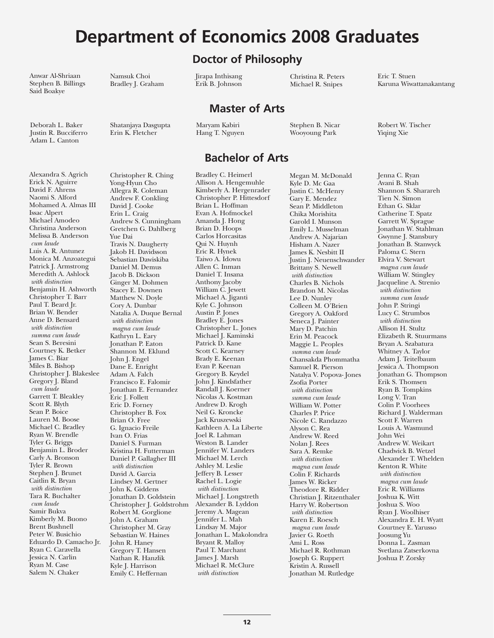# **Department of Economics 2008 Graduates**

**Doctor of Philosophy**

**Master of Arts**

**Bachelor of Arts**

Anwar Al-Shriaan Stephen B. Billings Said Boakye

Deborah L. Baker Justin R. Bucciferro Adam L. Canton

Alexandra S. Agrich

Namsuk Choi Bradley J. Graham

Shatanjaya Dasgupta Erin K. Fletcher

Maryam Kabiri Hang T. Nguyen

Jirapa Inthisang Erik B. Johnson

Stephen B. Nicar

Wooyoung Park

Christina R. Peters Michael R. Snipes

#### Erick N. Aguirre David F. Ahrens Naomi S. Alford Mohamed A. Almas III Issac Alpert Michael Amodeo Christina Anderson Melissa B. Anderson *cum laude* Luis A. R. Antunez Monica M. Anzoategui Patrick J. Armstrong Meredith A. Ashlock *with distinction* Benjamin H. Ashworth Christopher T. Barr Paul T. Beard Jr. Brian W. Bender Anne D. Bensard *with distinction summa cum laude* Sean S. Beresini Courtney K. Betker James C. Biar Miles B. Bishop Christopher J. Blakeslee Gregory J. Bland *cum laude* Garrett T. Bleakley Scott R. Blyth Sean P. Boice Lauren M. Boose Michael C. Bradley Ryan W. Brendle Tyler G. Briggs Benjamin L. Broder Carly A. Bronson Tyler R. Brown Stephen J. Brunet Caitlin R. Bryan *with distinction* Tara R. Buchalter *cum laude* Samir Bukva Kimberly M. Buono Brent Bushnell Peter W. Busichio Eduardo D. Camacho Jr. Ryan C. Caravella Jessica N. Carlin Ryan M. Case Salem N. Chaker

Christopher R. Ching Yong-Hyun Cho Allegra R. Coleman Andrew F. Conkling David J. Cooke Erin L. Craig Andrew S. Cunningham Gretchen G. Dahlberg Yue Dai Travis N. Daugherty Jakob H. Davidsson Sebastian Dawiskiba Daniel M. Demus Jacob B. Dickson Ginger M. Dohmen Stacey E. Downen Matthew N. Doyle Cory A. Dunbar Natalia A. Duque Bernal *with distinction magna cum laude* Kathryn L. Eary Jonathan P. Eaton Shannon M. Eklund John J. Engel Dane E. Enright Adam A. Falch Francisco E. Falomir Jonathan E. Fernandez Eric J. Follett Eric D. Forney Christopher B. Fox Brian O. Free G. Ignacio Freile Ivan O. Frias Daniel S. Furman Kristina H. Futterman Daniel P. Gallagher III *with distinction* David A. Garcia Lindsey M. Gertner John K. Giddens Jonathan D. Goldstein Christopher J. Goldstrohm Robert M. Gorglione John A. Graham Christopher M. Gray Sebastian W. Haines John R. Haney Gregory T. Hansen Nathan R. Hanzlik Kyle J. Harrison Emily C. Heffernan

Bradley C. Heimerl Allison A. Hengemuhle Kimberly A. Hergenrader Christopher P. Hittesdorf Brian L. Hoffman Evan A. Hofmockel Amanda J. Hong Brian D. Hoops Carlos Horcasitas Qui N. Huynh Eric R. Hynek Taiwo A. Idowu Allen C. Inman Daniel T. Insana Anthony Jacoby William C. Jewett Michael A. Jiganti Kyle C. Johnson Austin P. Jones Bradley E. Jones Christopher L. Jones Michael J. Kaminski Patrick D. Kane Scott C. Kearney Brady E. Keenan Evan P. Keenan Gregory B. Keydel John J. Kindsfather Randall J. Koerner Nicolas A. Kostman Andrew D. Krogh Neil G. Kroncke Jack Kruszewski Kathleen A. La Liberte Joel R. Lahman Weston B. Lander Jennifer W. Landers Michael M. Lerch Ashley M. Leslie Jeffery B. Lesser Rachel L. Logie *with distinction* Michael J. Longstreth Alexander B. Lyddon Jeremy A. Magean Jennifer L. Mah Lindsay M. Major Jonathan L. Makolondra Bryant R. Malloy Paul T. Marchant James J. Marsh Michael R. McClure *with distinction*

Megan M. McDonald Kyle D. Mc Gaa Justin C. McHenry Gary E. Mendez Sean P. Middleton Chika Morishita Garold I. Munson Emily L. Musselman Andrew A. Najarian Hisham A. Nazer James K. Nesbitt II Justin J. Neuenschwander Brittany S. Newell *with distinction* Charles B. Nichols Brandon M. Nicolas Lee D. Nunley Colleen M. O'Brien Gregory A. Oakford Seneca J. Painter Mary D. Patchin Erin M. Peacock Maggie L. Peoples *summa cum laude* Chansakda Phommatha Samuel R. Pierson Natalya V. Popova- Jones Zsofia Porter *with distinction summa cum laude* William W. Potter Charles P. Price Nicole C. Randazzo Alyson C. Rea Andrew W. Reed Nolan J. Rees Sara A. Remke *with distinction magna cum laude* Colin F. Richards James W. Ricker Theodore R. Ridder Christian J. Ritzenthaler Harry W. Robertson *with distinction* Karen E. Roesch *magna cum laude* Javier G. Roeth Ami L. Ross Michael R. Rothman Joseph G. Ruppert Kristin A. Russell Jonathan M. Rutledge

Eric T. Stuen Karuna Wiwattanakantang

Robert W. Tischer Yiqing Xie

Jenna C. Ryan Avani B. Shah Shannon S. Sharareh Tien N. Simon Ethan G. Sklar Catherine T. Spatz Garrett W. Sprague Jonathan W. Stahlman Gwynne J. Stansbury Jonathan B. Stanwyck Paloma C. Stern Elvira V. Stewart *magna cum laude* William W. Stingley Jacqueline A. Strenio *with distinction summa cum laude* John P. Stringi Lucy C. Strumbos *with distinction* Allison H. Stultz Elizabeth R. Stuurmans Bryan A. Szabatura Whitney A. Taylor Adam J. Teitelbaum Jessica A. Thompson Jonathan G. Thompson Erik S. Thomsen Ryan B. Tompkins Long V. Tran Colin P. Voorhees Richard J. Walderman Scott F. Warren Louis A. Wasmund John Wei Andrew W. Weikart Chadwick B. Wetzel Alexander T. Whelden Kenton R. White *with distinction magna cum laude* Eric R. Williams Joshua K. Witt Joshua S. Woo Ryan J. Woolhiser Alexandra E. H. Wyatt Courtney E. Yarusso Joosung Yu Donna L. Zasman Svetlana Zatserkovna Joshua P. Zorsky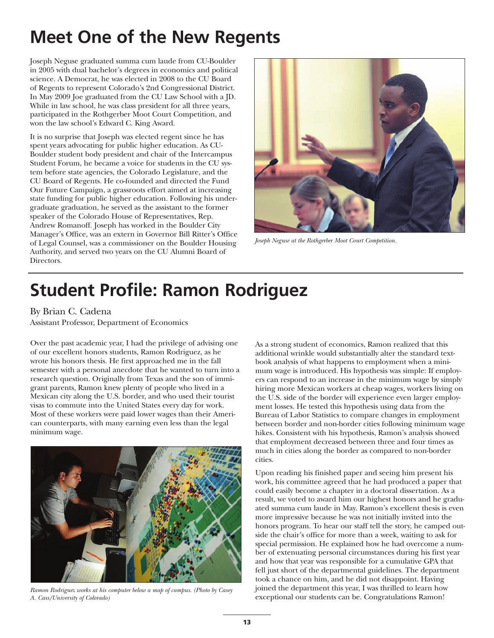# **Meet One of the New Regents**

Joseph Neguse graduated summa cum laude from CU-Boulder in 2005 with dual bachelor's degrees in economics and political science. A Democrat, he was elected in 2008 to the CU Board of Regents to represent Colorado's 2nd Congressional District. In May 2009 Joe graduated from the CU Law School with a JD. While in law school, he was class president for all three years, participated in the Rothgerber Moot Court Competition, and won the law school's Edward C. King Award.

It is no surprise that Joseph was elected regent since he has spent years advocating for public higher education. As CU-Boulder student body president and chair of the Intercampus Student Forum, he became a voice for students in the CU system before state agencies, the Colorado Legislature, and the CU Board of Regents. He co-founded and directed the Fund Our Future Campaign, a grassroots effort aimed at increasing state funding for public higher education. Following his undergraduate graduation, he served as the assistant to the former speaker of the Colorado House of Representatives, Rep. Andrew Romanoff. Joseph has worked in the Boulder City Manager's Office, was an extern in Governor Bill Ritter's Office of Legal Counsel, was a commissioner on the Boulder Housing Authority, and served two years on the CU Alumni Board of Directors.



*Joseph Neguse at the Rothgerber Moot Court Competition.*

# **Student Profile: Ramon Rodriguez**

By Brian C. Cadena

Assistant Professor, Department of Economics

Over the past academic year, I had the privilege of advising one of our excellent honors students, Ramon Rodriguez, as he wrote his honors thesis. He first approached me in the fall semester with a personal anecdote that he wanted to turn into a research question. Originally from Texas and the son of immigrant parents, Ramon knew plenty of people who lived in a Mexican city along the U.S. border, and who used their tourist visas to commute into the United States every day for work. Most of these workers were paid lower wages than their American counterparts, with many earning even less than the legal minimum wage.



*Ramon Rodriguez works at his computer below a map of campus. (Photo by Casey A. Cass/University of Colorado)*

As a strong student of economics, Ramon realized that this additional wrinkle would substantially alter the standard textbook analysis of what happens to employment when a minimum wage is introduced. His hypothesis was simple: If employers can respond to an increase in the minimum wage by simply hiring more Mexican workers at cheap wages, workers living on the U.S. side of the border will experience even larger employment losses. He tested this hypothesis using data from the Bureau of Labor Statistics to compare changes in employment between border and non-border cities following minimum wage hikes. Consistent with his hypothesis, Ramon's analysis showed that employment decreased between three and four times as much in cities along the border as compared to non-border cities.

Upon reading his finished paper and seeing him present his work, his committee agreed that he had produced a paper that could easily become a chapter in a doctoral dissertation. As a result, we voted to award him our highest honors and he graduated summa cum laude in May. Ramon's excellent thesis is even more impressive because he was not initially invited into the honors program. To hear our staff tell the story, he camped outside the chair's office for more than a week, waiting to ask for special permission. He explained how he had overcome a number of extenuating personal circumstances during his first year and how that year was responsible for a cumulative GPA that fell just short of the departmental guidelines. The department took a chance on him, and he did not disappoint. Having joined the department this year, I was thrilled to learn how exceptional our students can be. Congratulations Ramon!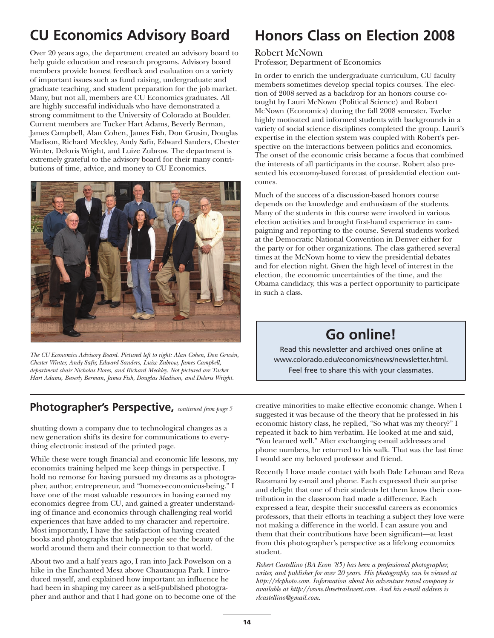### **CU Economics Advisory Board**

Over 20 years ago, the department created an advisory board to help guide education and research programs. Advisory board members provide honest feedback and evaluation on a variety of important issues such as fund raising, undergraduate and graduate teaching, and student preparation for the job market. Many, but not all, members are CU Economics graduates. All are highly successful individuals who have demonstrated a strong commitment to the University of Colorado at Boulder. Current members are Tucker Hart Adams, Beverly Berman, James Campbell, Alan Cohen, James Fish, Don Grusin, Douglas Madison, Richard Meckley, Andy Safir, Edward Sanders, Chester Winter, Deloris Wright, and Luize Zubrow. The department is extremely grateful to the advisory board for their many contributions of time, advice, and money to CU Economics.



*The CU Economics Advisory Board. Pictured left to right: Alan Cohen, Don Grusin, Chester Winter, Andy Safir, Edward Sanders, Luize Zubrow, James Campbell, department chair Nicholas Flores, and Richard Meckley. Not pictured are Tucker Hart Adams, Beverly Berman, James Fish, Douglas Madison, and Deloris Wright.*

shutting down a company due to technological changes as a new generation shifts its desire for communications to everything electronic instead of the printed page.

While these were tough financial and economic life lessons, my economics training helped me keep things in perspective. I hold no remorse for having pursued my dreams as a photographer, author, entrepreneur, and "homeo-economicus-being." I have one of the most valuable resources in having earned my economics degree from CU, and gained a greater understanding of finance and economics through challenging real world experiences that have added to my character and repertoire. Most importantly, I have the satisfaction of having created books and photographs that help people see the beauty of the world around them and their connection to that world.

About two and a half years ago, I ran into Jack Powelson on a hike in the Enchanted Mesa above Chautauqua Park. I introduced myself, and explained how important an influence he had been in shaping my career as a self-published photographer and author and that I had gone on to become one of the

### **Honors Class on Election 2008**

#### Robert McNown Professor, Department of Economics

In order to enrich the undergraduate curriculum, CU faculty members sometimes develop special topics courses. The election of 2008 served as a backdrop for an honors course cotaught by Lauri McNown (Political Science) and Robert McNown (Economics) during the fall 2008 semester. Twelve highly motivated and informed students with backgrounds in a variety of social science disciplines completed the group. Lauri's expertise in the election system was coupled with Robert's perspective on the interactions between politics and economics. The onset of the economic crisis became a focus that combined the interests of all participants in the course. Robert also presented his economy-based forecast of presidential election outcomes.

Much of the success of a discussion-based honors course depends on the knowledge and enthusiasm of the students. Many of the students in this course were involved in various election activities and brought first-hand experience in campaigning and reporting to the course. Several students worked at the Democratic National Convention in Denver either for the party or for other organizations. The class gathered several times at the McNown home to view the presidential debates and for election night. Given the high level of interest in the election, the economic uncertainties of the time, and the Obama candidacy, this was a perfect opportunity to participate in such a class.

### **Go online!**

Read this newsletter and archived ones online at www.colorado.edu/economics/news/newsletter.html. Feel free to share this with your classmates.

**Photographer's Perspective,** *continued from page 5* creative minorities to make effective economic change. When I suggested it was because of the theory that he professed in his economic history class, he replied, "So what was my theory?" I repeated it back to him verbatim. He looked at me and said, "You learned well." After exchanging e-mail addresses and phone numbers, he returned to his walk. That was the last time I would see my beloved professor and friend.

> Recently I have made contact with both Dale Lehman and Reza Razamani by e-mail and phone. Each expressed their surprise and delight that one of their students let them know their contribution in the classroom had made a difference. Each expressed a fear, despite their successful careers as economics professors, that their efforts in teaching a subject they love were not making a difference in the world. I can assure you and them that their contributions have been significant—at least from this photographer's perspective as a lifelong economics student.

*Robert Castellino (BA Econ '85) has been a professional photographer, writer, and publisher for over 20 years. His photography can be viewed at http://rlcphoto.com. Information about his adventure travel company is available at http://www.threetrailswest.com. And his e-mail address is rlcastellino@gmail.com.*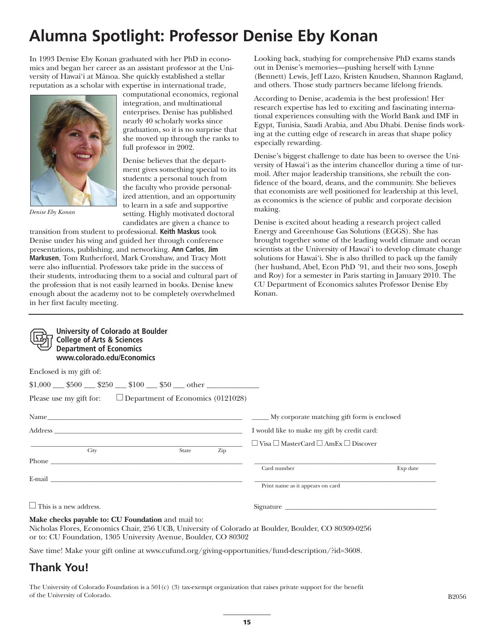### **Alumna Spotlight: Professor Denise Eby Konan**

In 1993 Denise Eby Konan graduated with her PhD in economics and began her career as an assistant professor at the University of Hawai'i at Mānoa. She quickly established a stellar reputation as a scholar with expertise in international trade,



*Denise Eby Konan*

computational economics, regional integration, and multinational enterprises. Denise has published nearly 40 scholarly works since graduation, so it is no surprise that she moved up through the ranks to full professor in 2002.

Denise believes that the department gives something special to its students: a personal touch from the faculty who provide personalized attention, and an opportunity to learn in a safe and supportive setting. Highly motivated doctoral candidates are given a chance to

transition from student to professional. **Keith Maskus** took Denise under his wing and guided her through conference presentations, publishing, and networking. **Ann Carlos**, **Jim Markusen**, Tom Rutherford, Mark Cronshaw, and Tracy Mott were also influential. Professors take pride in the success of their students, introducing them to a social and cultural part of the profession that is not easily learned in books. Denise knew enough about the academy not to be completely overwhelmed in her first faculty meeting.

Looking back, studying for comprehensive PhD exams stands out in Denise's memories—pushing herself with Lynne (Bennett) Lewis, Jeff Lazo, Kristen Knudsen, Shannon Ragland, and others. Those study partners became lifelong friends.

According to Denise, academia is the best profession! Her research expertise has led to exciting and fascinating international experiences consulting with the World Bank and IMF in Egypt, Tunisia, Saudi Arabia, and Abu Dhabi. Denise finds working at the cutting edge of research in areas that shape policy especially rewarding.

Denise's biggest challenge to date has been to oversee the University of Hawai'i as the interim chancellor during a time of turmoil. After major leadership transitions, she rebuilt the confidence of the board, deans, and the community. She believes that economists are well positioned for leadership at this level, as economics is the science of public and corporate decision making.

Denise is excited about heading a research project called Energy and Greenhouse Gas Solutions (EGGS). She has brought together some of the leading world climate and ocean scientists at the University of Hawai'i to develop climate change solutions for Hawai'i. She is also thrilled to pack up the family (her husband, Abel, Econ PhD '91, and their two sons, Joseph and Roy) for a semester in Paris starting in January 2010. The CU Department of Economics salutes Professor Denise Eby Konan.

| <b>University of Colorado at Boulder</b><br><b>College of Arts &amp; Sciences</b><br><b>Department of Economics</b><br>www.colorado.edu/Economics                                                                                    |                                                           |          |
|--------------------------------------------------------------------------------------------------------------------------------------------------------------------------------------------------------------------------------------|-----------------------------------------------------------|----------|
| Enclosed is my gift of:                                                                                                                                                                                                              |                                                           |          |
| $$1,000$ \$500 \$250 \$100 \$100 \$50 other                                                                                                                                                                                          |                                                           |          |
| Please use my gift for: $\Box$ Department of Economics (0121028)                                                                                                                                                                     |                                                           |          |
|                                                                                                                                                                                                                                      |                                                           |          |
|                                                                                                                                                                                                                                      | I would like to make my gift by credit card:              |          |
| $\overline{\text{City}}$<br>Zip<br>State                                                                                                                                                                                             | $\Box$ Visa $\Box$ MasterCard $\Box$ AmEx $\Box$ Discover |          |
| Phone <u>that is a series of the series of the series of the series of the series of the series of the series of the series of the series of the series of the series of the series of the series of the series of the series of</u> | Card number                                               | Exp date |
| E-mail 2008 and 2008 and 2008 and 2008 and 2008 and 2008 and 2008 and 2008 and 2008 and 2008 and 2008 and 2008                                                                                                                       |                                                           |          |
|                                                                                                                                                                                                                                      | Print name as it appears on card                          |          |
| $\Box$ This is a new address.                                                                                                                                                                                                        |                                                           |          |
| Make checks payable to: CU Foundation and mail to:<br>Nicholas Flores, Economics Chair, 256 UCB, University of Colorado at Boulder, Boulder, CO 80309-0256<br>or to: CU Foundation, 1305 University Avenue, Boulder, CO 80302        |                                                           |          |

Save time! Make your gift online at www.cufund.org/giving-opportunities/fund-description/?id=3608.

### **Thank You!**

The University of Colorado Foundation is a  $501(c)$  (3) tax-exempt organization that raises private support for the benefit of the University of Colorado. B2056